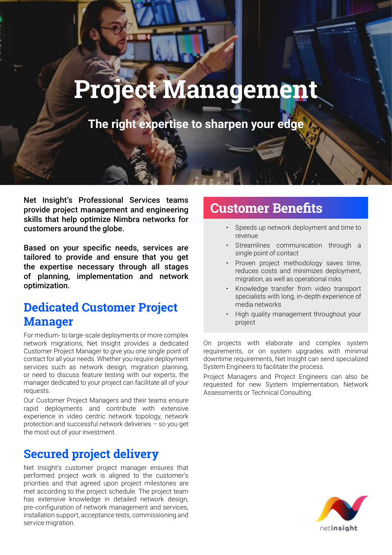# **Project Management**

**The right expertise to sharpen your edge**

Net Insight's Professional Services teams provide project management and engineering skills that help optimize Nimbra networks for customers around the globe.

Based on your specific needs, services are tailored to provide and ensure that you get the expertise necessary through all stages of planning, implementation and network optimization.

# **Dedicated Customer Project Manager**

For medium- to large-scale deployments or more complex network migrations, Net Insight provides a dedicated Customer Project Manager to give you one single point of contact for all your needs. Whether you require deployment services such as network design, migration planning, or need to discuss feature testing with our experts, the manager dedicated to your project can facilitate all of your requests.

Our Customer Project Managers and their teams ensure rapid deployments and contribute with extensive experience in video centric network topology, network protection and successful network deliveries – so you get the most out of your investment.

# **Secured project delivery**

Net Insight's customer project manager ensures that performed project work is aligned to the customer's priorities and that agreed upon project milestones are met according to the project schedule. The project team has extensive knowledge in detailed network design, pre-configuration of network management and services, installation support, acceptance tests, commissioning and service migration.

# **Customer Benefits**

- Speeds up network deployment and time to revenue
- Streamlines communication through a single point of contact
- Proven project methodology saves time, reduces costs and minimizes deployment, migration, as well as operational risks
- Knowledge transfer from video transport specialists with long, in-depth experience of media networks
- High quality management throughout your project

On projects with elaborate and complex system requirements, or on system upgrades with minimal downtime requirements, Net Insight can send specialized System Engineers to facilitate the process.

Project Managers and Project Engineers can also be requested for new System Implementation, Network Assessments or Technical Consulting.